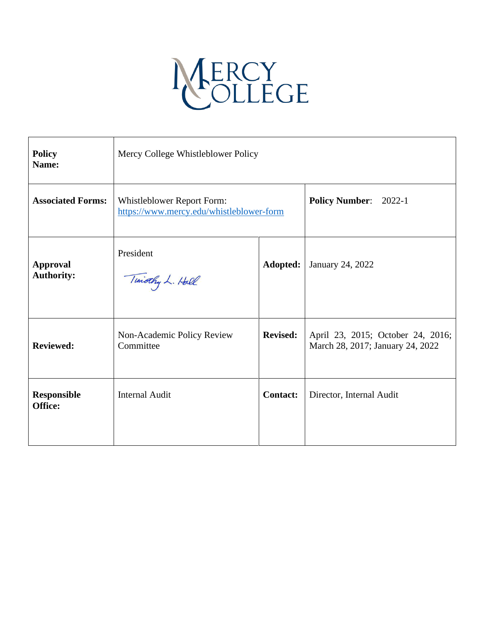# MERCY<br>OLLEGE

| <b>Policy</b><br>Name:               | Mercy College Whistleblower Policy                                     |                 |                                                                       |
|--------------------------------------|------------------------------------------------------------------------|-----------------|-----------------------------------------------------------------------|
| <b>Associated Forms:</b>             | Whistleblower Report Form:<br>https://www.mercy.edu/whistleblower-form |                 | Policy Number: 2022-1                                                 |
| <b>Approval</b><br><b>Authority:</b> | President<br>Timothy L. Hall                                           | Adopted:        | January 24, 2022                                                      |
| <b>Reviewed:</b>                     | Non-Academic Policy Review<br>Committee                                | <b>Revised:</b> | April 23, 2015; October 24, 2016;<br>March 28, 2017; January 24, 2022 |
| <b>Responsible</b><br>Office:        | <b>Internal Audit</b>                                                  | <b>Contact:</b> | Director, Internal Audit                                              |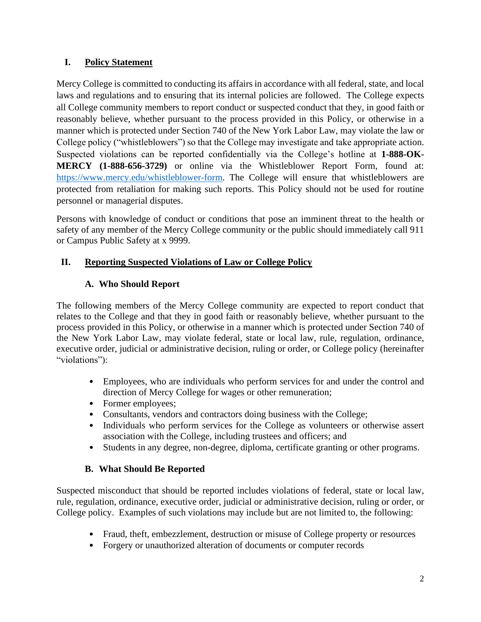# **I. Policy Statement**

Mercy College is committed to conducting its affairs in accordance with all federal, state, and local laws and regulations and to ensuring that its internal policies are followed. The College expects all College community members to report conduct or suspected conduct that they, in good faith or reasonably believe, whether pursuant to the process provided in this Policy, or otherwise in a manner which is protected under Section 740 of the New York Labor Law, may violate the law or College policy ("whistleblowers") so that the College may investigate and take appropriate action. Suspected violations can be reported confidentially via the College's hotline at **1-888-OK-MERCY (1-888-656-3729)** or online via the Whistleblower Report Form, found at: [https://www.mercy.edu/whistleblower-form.](https://www.mercy.edu/whistleblower-form) The College will ensure that whistleblowers are protected from retaliation for making such reports. This Policy should not be used for routine personnel or managerial disputes.

Persons with knowledge of conduct or conditions that pose an imminent threat to the health or safety of any member of the Mercy College community or the public should immediately call 911 or Campus Public Safety at x 9999.

# **II. Reporting Suspected Violations of Law or College Policy**

# **A. Who Should Report**

The following members of the Mercy College community are expected to report conduct that relates to the College and that they in good faith or reasonably believe, whether pursuant to the process provided in this Policy, or otherwise in a manner which is protected under Section 740 of the New York Labor Law, may violate federal, state or local law, rule, regulation, ordinance, executive order, judicial or administrative decision, ruling or order, or College policy (hereinafter "violations"):

- Employees, who are individuals who perform services for and under the control and direction of Mercy College for wages or other remuneration;
- Former employees;
- Consultants, vendors and contractors doing business with the College;
- Individuals who perform services for the College as volunteers or otherwise assert association with the College, including trustees and officers; and
- Students in any degree, non-degree, diploma, certificate granting or other programs.

# **B. What Should Be Reported**

Suspected misconduct that should be reported includes violations of federal, state or local law, rule, regulation, ordinance, executive order, judicial or administrative decision, ruling or order, or College policy. Examples of such violations may include but are not limited to, the following:

- Fraud, theft, embezzlement, destruction or misuse of College property or resources
- Forgery or unauthorized alteration of documents or computer records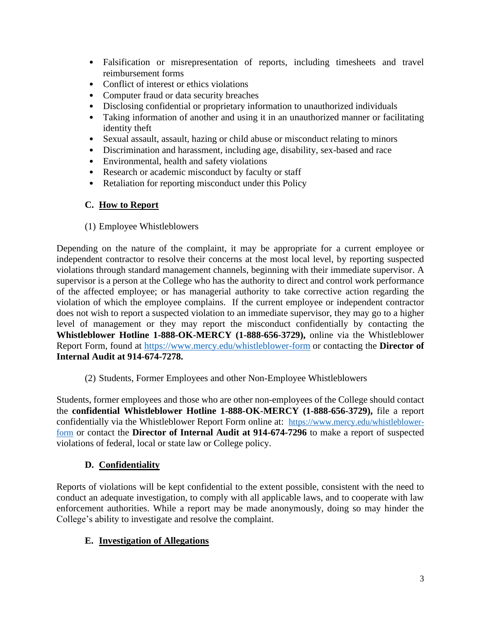- Falsification or misrepresentation of reports, including timesheets and travel reimbursement forms
- Conflict of interest or ethics violations
- Computer fraud or data security breaches
- Disclosing confidential or proprietary information to unauthorized individuals
- Taking information of another and using it in an unauthorized manner or facilitating identity theft
- Sexual assault, assault, hazing or child abuse or misconduct relating to minors
- Discrimination and harassment, including age, disability, sex-based and race
- Environmental, health and safety violations
- Research or academic misconduct by faculty or staff
- Retaliation for reporting misconduct under this Policy

## **C. How to Report**

(1) Employee Whistleblowers

Depending on the nature of the complaint, it may be appropriate for a current employee or independent contractor to resolve their concerns at the most local level, by reporting suspected violations through standard management channels, beginning with their immediate supervisor. A supervisor is a person at the College who has the authority to direct and control work performance of the affected employee; or has managerial authority to take corrective action regarding the violation of which the employee complains. If the current employee or independent contractor does not wish to report a suspected violation to an immediate supervisor, they may go to a higher level of management or they may report the misconduct confidentially by contacting the **Whistleblower Hotline 1-888-OK-MERCY (1-888-656-3729),** online via the Whistleblower Report Form, found at<https://www.mercy.edu/whistleblower-form> or contacting the **Director of Internal Audit at 914-674-7278.**

(2) Students, Former Employees and other Non-Employee Whistleblowers

Students, former employees and those who are other non-employees of the College should contact the **confidential Whistleblower Hotline 1-888-OK-MERCY (1-888-656-3729),** file a report confidentially via the Whistleblower Report Form online at: [https://www.mercy.edu/whistleblower](https://www.mercy.edu/whistleblower-form)[form](https://www.mercy.edu/whistleblower-form) or contact the **Director of Internal Audit at 914-674-7296** to make a report of suspected violations of federal, local or state law or College policy.

# **D. Confidentiality**

Reports of violations will be kept confidential to the extent possible, consistent with the need to conduct an adequate investigation, to comply with all applicable laws, and to cooperate with law enforcement authorities. While a report may be made anonymously, doing so may hinder the College's ability to investigate and resolve the complaint.

# **E. Investigation of Allegations**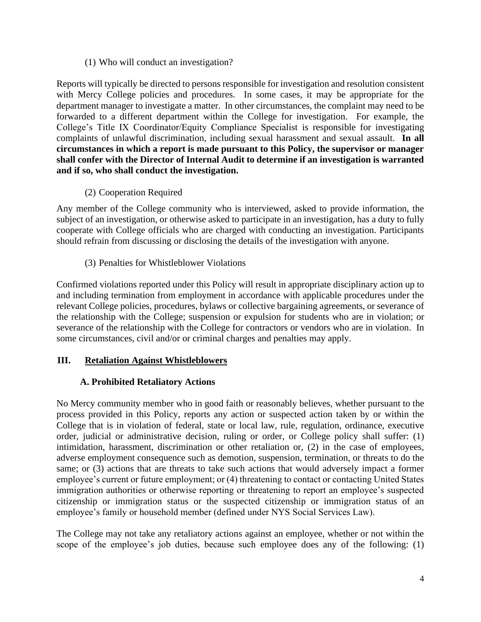(1) Who will conduct an investigation?

Reports will typically be directed to persons responsible for investigation and resolution consistent with Mercy College policies and procedures. In some cases, it may be appropriate for the department manager to investigate a matter. In other circumstances, the complaint may need to be forwarded to a different department within the College for investigation. For example, the College's Title IX Coordinator/Equity Compliance Specialist is responsible for investigating complaints of unlawful discrimination, including sexual harassment and sexual assault. **In all circumstances in which a report is made pursuant to this Policy, the supervisor or manager shall confer with the Director of Internal Audit to determine if an investigation is warranted and if so, who shall conduct the investigation.**

(2) Cooperation Required

Any member of the College community who is interviewed, asked to provide information, the subject of an investigation, or otherwise asked to participate in an investigation, has a duty to fully cooperate with College officials who are charged with conducting an investigation. Participants should refrain from discussing or disclosing the details of the investigation with anyone.

(3) Penalties for Whistleblower Violations

Confirmed violations reported under this Policy will result in appropriate disciplinary action up to and including termination from employment in accordance with applicable procedures under the relevant College policies, procedures, bylaws or collective bargaining agreements, or severance of the relationship with the College; suspension or expulsion for students who are in violation; or severance of the relationship with the College for contractors or vendors who are in violation. In some circumstances, civil and/or or criminal charges and penalties may apply.

#### **III. Retaliation Against Whistleblowers**

#### **A. Prohibited Retaliatory Actions**

No Mercy community member who in good faith or reasonably believes, whether pursuant to the process provided in this Policy, reports any action or suspected action taken by or within the College that is in violation of federal, state or local law, rule, regulation, ordinance, executive order, judicial or administrative decision, ruling or order, or College policy shall suffer: (1) intimidation, harassment, discrimination or other retaliation or, (2) in the case of employees, adverse employment consequence such as demotion, suspension, termination, or threats to do the same; or (3) actions that are threats to take such actions that would adversely impact a former employee's current or future employment; or (4) threatening to contact or contacting United States immigration authorities or otherwise reporting or threatening to report an employee's suspected citizenship or immigration status or the suspected citizenship or immigration status of an employee's family or household member (defined under NYS Social Services Law).

The College may not take any retaliatory actions against an employee, whether or not within the scope of the employee's job duties, because such employee does any of the following: (1)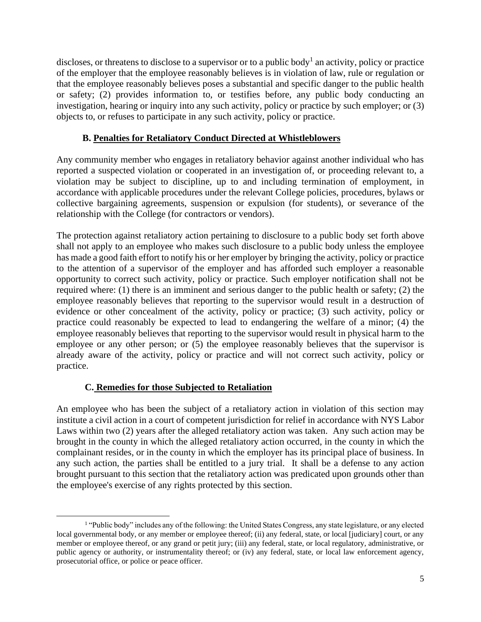discloses, or threatens to disclose to a supervisor or to a public body<sup>1</sup> an activity, policy or practice of the employer that the employee reasonably believes is in violation of law, rule or regulation or that the employee reasonably believes poses a substantial and specific danger to the public health or safety; (2) provides information to, or testifies before, any public body conducting an investigation, hearing or inquiry into any such activity, policy or practice by such employer; or (3) objects to, or refuses to participate in any such activity, policy or practice.

## **B. Penalties for Retaliatory Conduct Directed at Whistleblowers**

Any community member who engages in retaliatory behavior against another individual who has reported a suspected violation or cooperated in an investigation of, or proceeding relevant to, a violation may be subject to discipline, up to and including termination of employment, in accordance with applicable procedures under the relevant College policies, procedures, bylaws or collective bargaining agreements, suspension or expulsion (for students), or severance of the relationship with the College (for contractors or vendors).

The protection against retaliatory action pertaining to disclosure to a public body set forth above shall not apply to an employee who makes such disclosure to a public body unless the employee has made a good faith effort to notify his or her employer by bringing the activity, policy or practice to the attention of a supervisor of the employer and has afforded such employer a reasonable opportunity to correct such activity, policy or practice. Such employer notification shall not be required where: (1) there is an imminent and serious danger to the public health or safety; (2) the employee reasonably believes that reporting to the supervisor would result in a destruction of evidence or other concealment of the activity, policy or practice; (3) such activity, policy or practice could reasonably be expected to lead to endangering the welfare of a minor; (4) the employee reasonably believes that reporting to the supervisor would result in physical harm to the employee or any other person; or (5) the employee reasonably believes that the supervisor is already aware of the activity, policy or practice and will not correct such activity, policy or practice.

# **C. Remedies for those Subjected to Retaliation**

An employee who has been the subject of a retaliatory action in violation of this section may institute a civil action in a court of competent jurisdiction for relief in accordance with NYS Labor Laws within two (2) years after the alleged retaliatory action was taken. Any such action may be brought in the county in which the alleged retaliatory action occurred, in the county in which the complainant resides, or in the county in which the employer has its principal place of business. In any such action, the parties shall be entitled to a jury trial. It shall be a defense to any action brought pursuant to this section that the retaliatory action was predicated upon grounds other than the employee's exercise of any rights protected by this section.

<sup>&</sup>lt;sup>1</sup> "Public body" includes any of the following: the United States Congress, any state legislature, or any elected local governmental body, or any member or employee thereof; (ii) any federal, state, or local [judiciary] court, or any member or employee thereof, or any grand or petit jury; (iii) any federal, state, or local regulatory, administrative, or public agency or authority, or instrumentality thereof; or (iv) any federal, state, or local law enforcement agency, prosecutorial office, or police or peace officer.